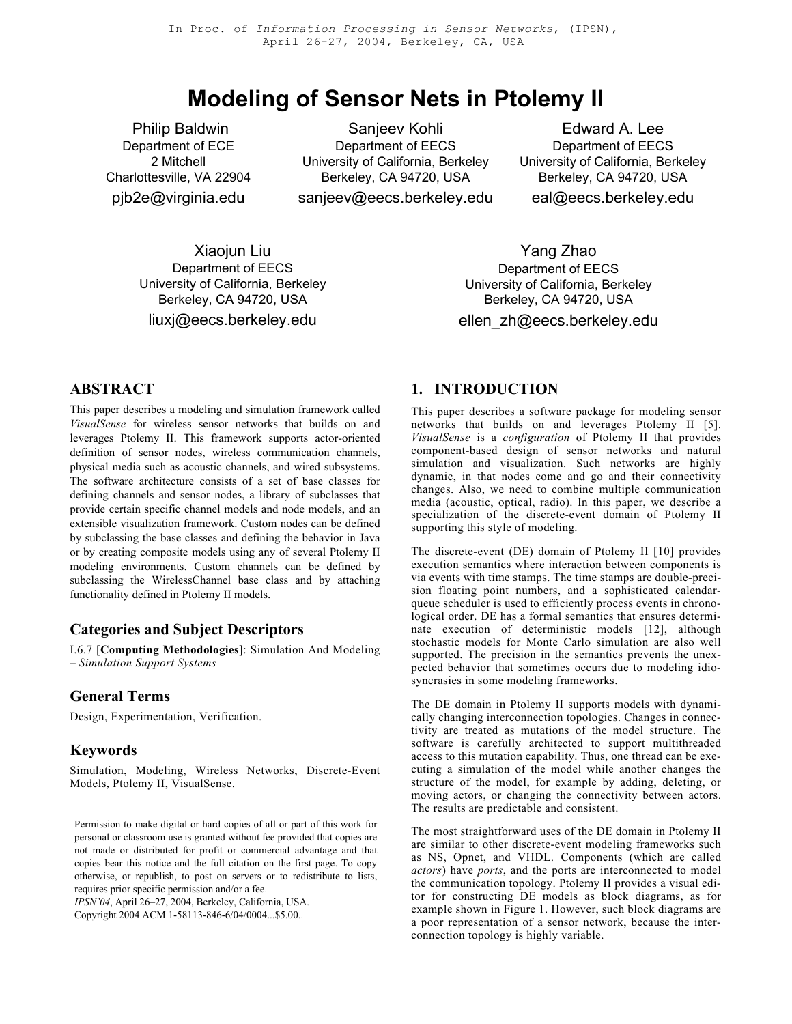# **Modeling of Sensor Nets in Ptolemy II**

 Philip Baldwin Department of ECE 2 Mitchell Charlottesville, VA 22904 pjb2e@virginia.edu

Sanjeev Kohli Department of EECS University of California, Berkeley Berkeley, CA 94720, USA sanjeev@eecs.berkeley.edu

Edward A. Lee Department of EECS University of California, Berkeley Berkeley, CA 94720, USA eal@eecs.berkeley.edu

Xiaojun Liu Department of EECS University of California, Berkeley Berkeley, CA 94720, USA liuxj@eecs.berkeley.edu

Yang Zhao Department of EECS University of California, Berkeley Berkeley, CA 94720, USA ellen\_zh@eecs.berkeley.edu

## **ABSTRACT**

This paper describes a modeling and simulation framework called *VisualSense* for wireless sensor networks that builds on and leverages Ptolemy II. This framework supports actor-oriented definition of sensor nodes, wireless communication channels, physical media such as acoustic channels, and wired subsystems. The software architecture consists of a set of base classes for defining channels and sensor nodes, a library of subclasses that provide certain specific channel models and node models, and an extensible visualization framework. Custom nodes can be defined by subclassing the base classes and defining the behavior in Java or by creating composite models using any of several Ptolemy II modeling environments. Custom channels can be defined by subclassing the WirelessChannel base class and by attaching functionality defined in Ptolemy II models.

## **Categories and Subject Descriptors**

I.6.7 [**Computing Methodologies**]: Simulation And Modeling – *Simulation Support Systems*

## **General Terms**

Design, Experimentation, Verification.

## **Keywords**

Simulation, Modeling, Wireless Networks, Discrete-Event Models, Ptolemy II, VisualSense.

Permission to make digital or hard copies of all or part of this work for personal or classroom use is granted without fee provided that copies are not made or distributed for profit or commercial advantage and that copies bear this notice and the full citation on the first page. To copy otherwise, or republish, to post on servers or to redistribute to lists, requires prior specific permission and/or a fee.

*IPSN'04*, April 26–27, 2004, Berkeley, California, USA. Copyright 2004 ACM 1-58113-846-6/04/0004...\$5.00..

## **1. INTRODUCTION**

This paper describes a software package for modeling sensor networks that builds on and leverages Ptolemy II [5]. *VisualSense* is a *configuration* of Ptolemy II that provides component-based design of sensor networks and natural simulation and visualization. Such networks are highly dynamic, in that nodes come and go and their connectivity changes. Also, we need to combine multiple communication media (acoustic, optical, radio). In this paper, we describe a specialization of the discrete-event domain of Ptolemy II supporting this style of modeling.

The discrete-event (DE) domain of Ptolemy II [10] provides execution semantics where interaction between components is via events with time stamps. The time stamps are double-precision floating point numbers, and a sophisticated calendarqueue scheduler is used to efficiently process events in chronological order. DE has a formal semantics that ensures determinate execution of deterministic models [12], although stochastic models for Monte Carlo simulation are also well supported. The precision in the semantics prevents the unexpected behavior that sometimes occurs due to modeling idiosyncrasies in some modeling frameworks.

The DE domain in Ptolemy II supports models with dynamically changing interconnection topologies. Changes in connectivity are treated as mutations of the model structure. The software is carefully architected to support multithreaded access to this mutation capability. Thus, one thread can be executing a simulation of the model while another changes the structure of the model, for example by adding, deleting, or moving actors, or changing the connectivity between actors. The results are predictable and consistent.

The most straightforward uses of the DE domain in Ptolemy II are similar to other discrete-event modeling frameworks such as NS, Opnet, and VHDL. Components (which are called *actors*) have *ports*, and the ports are interconnected to model the communication topology. Ptolemy II provides a visual editor for constructing DE models as block diagrams, as for example shown in Figure 1. However, such block diagrams are a poor representation of a sensor network, because the interconnection topology is highly variable.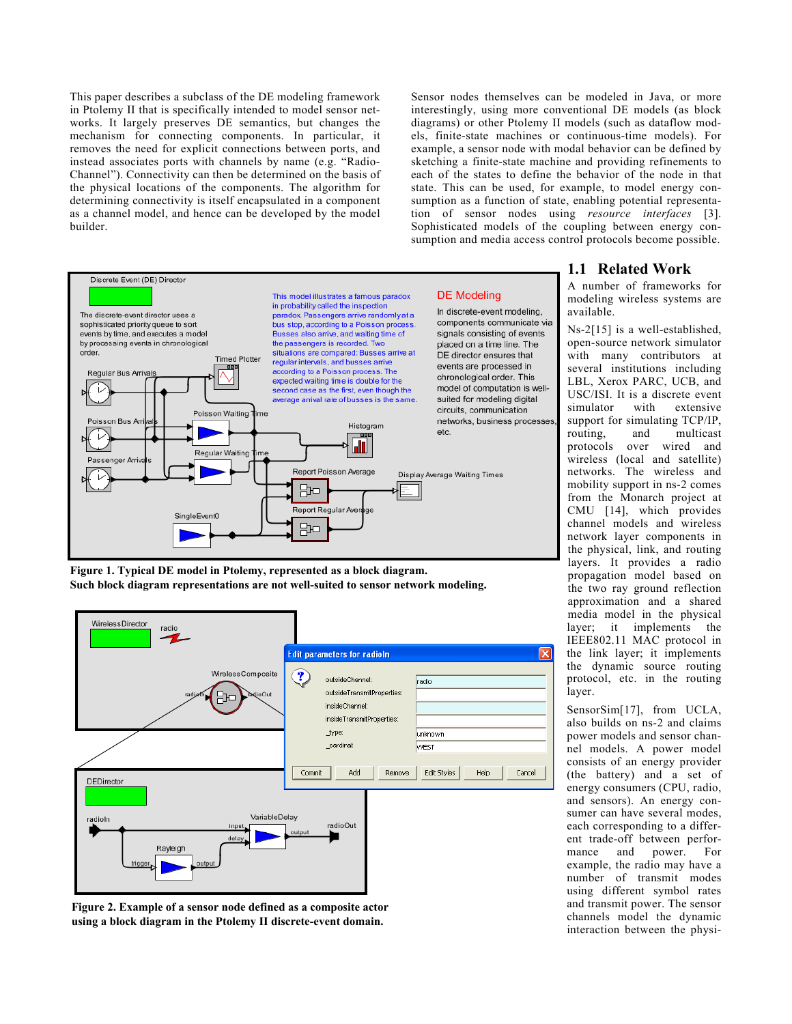This paper describes a subclass of the DE modeling framework in Ptolemy II that is specifically intended to model sensor networks. It largely preserves DE semantics, but changes the mechanism for connecting components. In particular, it removes the need for explicit connections between ports, and instead associates ports with channels by name (e.g. "Radio-Channel"). Connectivity can then be determined on the basis of the physical locations of the components. The algorithm for determining connectivity is itself encapsulated in a component as a channel model, and hence can be developed by the model builder.

Sensor nodes themselves can be modeled in Java, or more interestingly, using more conventional DE models (as block diagrams) or other Ptolemy II models (such as dataflow models, finite-state machines or continuous-time models). For example, a sensor node with modal behavior can be defined by sketching a finite-state machine and providing refinements to each of the states to define the behavior of the node in that state. This can be used, for example, to model energy consumption as a function of state, enabling potential representation of sensor nodes using *resource interfaces* [3]. Sophisticated models of the coupling between energy consumption and media access control protocols become possible.



**Figure 1. Typical DE model in Ptolemy, represented as a block diagram. Such block diagram representations are not well-suited to sensor network modeling.**



**Figure 2. Example of a sensor node defined as a composite actor using a block diagram in the Ptolemy II discrete-event domain.**

#### **1.1 Related Work**

A number of frameworks for modeling wireless systems are available.

Ns-2[15] is a well-established, open-source network simulator with many contributors at several institutions including LBL, Xerox PARC, UCB, and USC/ISI. It is a discrete event simulator with extensive support for simulating TCP/IP, routing, and multicast protocols over wired and wireless (local and satellite) networks. The wireless and mobility support in ns-2 comes from the Monarch project at CMU [14], which provides channel models and wireless network layer components in the physical, link, and routing layers. It provides a radio propagation model based on the two ray ground reflection approximation and a shared media model in the physical layer; it implements the IEEE802.11 MAC protocol in the link layer; it implements the dynamic source routing protocol, etc. in the routing layer.

SensorSim[17], from UCLA, also builds on ns-2 and claims power models and sensor channel models. A power model consists of an energy provider (the battery) and a set of energy consumers (CPU, radio, and sensors). An energy consumer can have several modes, each corresponding to a different trade-off between performance and power. For example, the radio may have a number of transmit modes using different symbol rates and transmit power. The sensor channels model the dynamic interaction between the physi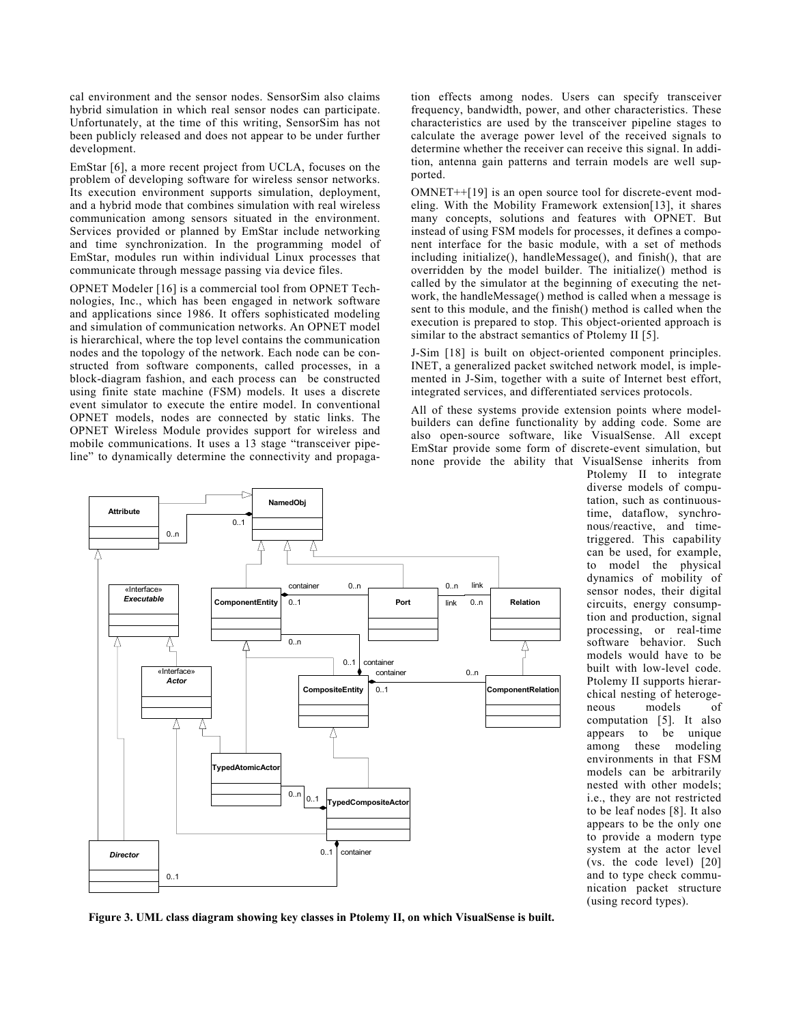cal environment and the sensor nodes. SensorSim also claims hybrid simulation in which real sensor nodes can participate. Unfortunately, at the time of this writing, SensorSim has not been publicly released and does not appear to be under further development.

EmStar [6], a more recent project from UCLA, focuses on the problem of developing software for wireless sensor networks. Its execution environment supports simulation, deployment, and a hybrid mode that combines simulation with real wireless communication among sensors situated in the environment. Services provided or planned by EmStar include networking and time synchronization. In the programming model of EmStar, modules run within individual Linux processes that communicate through message passing via device files.

OPNET Modeler [16] is a commercial tool from OPNET Technologies, Inc., which has been engaged in network software and applications since 1986. It offers sophisticated modeling and simulation of communication networks. An OPNET model is hierarchical, where the top level contains the communication nodes and the topology of the network. Each node can be constructed from software components, called processes, in a block-diagram fashion, and each process can be constructed using finite state machine (FSM) models. It uses a discrete event simulator to execute the entire model. In conventional OPNET models, nodes are connected by static links. The OPNET Wireless Module provides support for wireless and mobile communications. It uses a 13 stage "transceiver pipeline" to dynamically determine the connectivity and propagation effects among nodes. Users can specify transceiver frequency, bandwidth, power, and other characteristics. These characteristics are used by the transceiver pipeline stages to calculate the average power level of the received signals to determine whether the receiver can receive this signal. In addition, antenna gain patterns and terrain models are well supported.

OMNET++[19] is an open source tool for discrete-event modeling. With the Mobility Framework extension[13], it shares many concepts, solutions and features with OPNET. But instead of using FSM models for processes, it defines a component interface for the basic module, with a set of methods including initialize(), handleMessage(), and finish(), that are overridden by the model builder. The initialize() method is called by the simulator at the beginning of executing the network, the handleMessage() method is called when a message is sent to this module, and the finish() method is called when the execution is prepared to stop. This object-oriented approach is similar to the abstract semantics of Ptolemy II [5].

J-Sim [18] is built on object-oriented component principles. INET, a generalized packet switched network model, is implemented in J-Sim, together with a suite of Internet best effort, integrated services, and differentiated services protocols.

All of these systems provide extension points where modelbuilders can define functionality by adding code. Some are also open-source software, like VisualSense. All except EmStar provide some form of discrete-event simulation, but none provide the ability that VisualSense inherits from



Ptolemy II to integrate diverse models of computation, such as continuoustime, dataflow, synchronous/reactive, and timetriggered. This capability can be used, for example, to model the physical dynamics of mobility of sensor nodes, their digital circuits, energy consumption and production, signal processing, or real-time software behavior. Such models would have to be built with low-level code. Ptolemy II supports hierarchical nesting of heterogeneous models of computation [5]. It also appears to be unique among these modeling environments in that FSM models can be arbitrarily nested with other models; i.e., they are not restricted to be leaf nodes [8]. It also appears to be the only one to provide a modern type system at the actor level (vs. the code level) [20] and to type check communication packet structure (using record types).

**Figure 3. UML class diagram showing key classes in Ptolemy II, on which VisualSense is built.**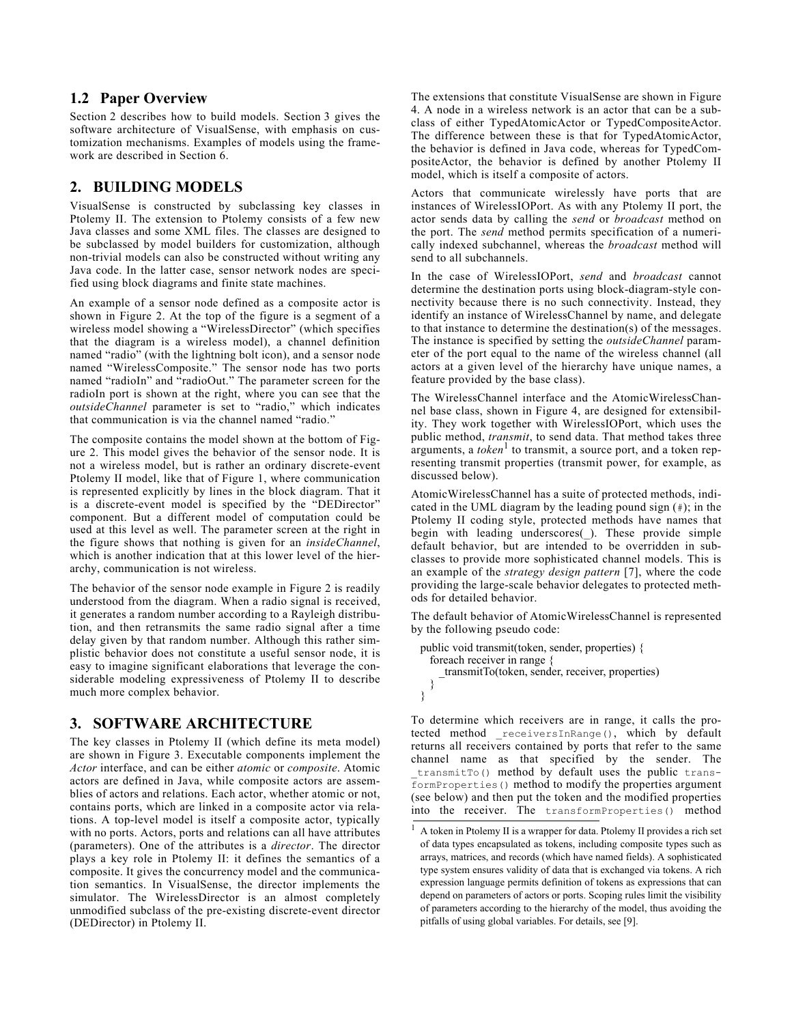#### **1.2 Paper Overview**

Section 2 describes how to build models. Section 3 gives the software architecture of VisualSense, with emphasis on customization mechanisms. Examples of models using the framework are described in Section 6.

#### **2. BUILDING MODELS**

VisualSense is constructed by subclassing key classes in Ptolemy II. The extension to Ptolemy consists of a few new Java classes and some XML files. The classes are designed to be subclassed by model builders for customization, although non-trivial models can also be constructed without writing any Java code. In the latter case, sensor network nodes are specified using block diagrams and finite state machines.

An example of a sensor node defined as a composite actor is shown in Figure 2. At the top of the figure is a segment of a wireless model showing a "WirelessDirector" (which specifies that the diagram is a wireless model), a channel definition named "radio" (with the lightning bolt icon), and a sensor node named "WirelessComposite." The sensor node has two ports named "radioIn" and "radioOut." The parameter screen for the radioIn port is shown at the right, where you can see that the *outsideChannel* parameter is set to "radio," which indicates that communication is via the channel named "radio."

The composite contains the model shown at the bottom of Figure 2. This model gives the behavior of the sensor node. It is not a wireless model, but is rather an ordinary discrete-event Ptolemy II model, like that of Figure 1, where communication is represented explicitly by lines in the block diagram. That it is a discrete-event model is specified by the "DEDirector" component. But a different model of computation could be used at this level as well. The parameter screen at the right in the figure shows that nothing is given for an *insideChannel*, which is another indication that at this lower level of the hierarchy, communication is not wireless.

The behavior of the sensor node example in Figure 2 is readily understood from the diagram. When a radio signal is received, it generates a random number according to a Rayleigh distribution, and then retransmits the same radio signal after a time delay given by that random number. Although this rather simplistic behavior does not constitute a useful sensor node, it is easy to imagine significant elaborations that leverage the considerable modeling expressiveness of Ptolemy II to describe much more complex behavior.

## **3. SOFTWARE ARCHITECTURE**

The key classes in Ptolemy II (which define its meta model) are shown in Figure 3. Executable components implement the *Actor* interface, and can be either *atomic* or *composite*. Atomic actors are defined in Java, while composite actors are assemblies of actors and relations. Each actor, whether atomic or not, contains ports, which are linked in a composite actor via relations. A top-level model is itself a composite actor, typically with no ports. Actors, ports and relations can all have attributes (parameters). One of the attributes is a *director*. The director plays a key role in Ptolemy II: it defines the semantics of a composite. It gives the concurrency model and the communication semantics. In VisualSense, the director implements the simulator. The WirelessDirector is an almost completely unmodified subclass of the pre-existing discrete-event director (DEDirector) in Ptolemy II.

The extensions that constitute VisualSense are shown in Figure 4. A node in a wireless network is an actor that can be a subclass of either TypedAtomicActor or TypedCompositeActor. The difference between these is that for TypedAtomicActor, the behavior is defined in Java code, whereas for TypedCompositeActor, the behavior is defined by another Ptolemy II model, which is itself a composite of actors.

Actors that communicate wirelessly have ports that are instances of WirelessIOPort. As with any Ptolemy II port, the actor sends data by calling the *send* or *broadcast* method on the port. The *send* method permits specification of a numerically indexed subchannel, whereas the *broadcast* method will send to all subchannels.

In the case of WirelessIOPort, *send* and *broadcast* cannot determine the destination ports using block-diagram-style connectivity because there is no such connectivity. Instead, they identify an instance of WirelessChannel by name, and delegate to that instance to determine the destination(s) of the messages. The instance is specified by setting the *outsideChannel* parameter of the port equal to the name of the wireless channel (all actors at a given level of the hierarchy have unique names, a feature provided by the base class).

The WirelessChannel interface and the AtomicWirelessChannel base class, shown in Figure 4, are designed for extensibility. They work together with WirelessIOPort, which uses the public method, *transmit*, to send data. That method takes three arguments, a *token*<sup>1</sup> to transmit, a source port, and a token representing transmit properties (transmit power, for example, as discussed below).

AtomicWirelessChannel has a suite of protected methods, indicated in the UML diagram by the leading pound sign (#); in the Ptolemy II coding style, protected methods have names that begin with leading underscores(\_). These provide simple default behavior, but are intended to be overridden in subclasses to provide more sophisticated channel models. This is an example of the *strategy design pattern* [7], where the code providing the large-scale behavior delegates to protected methods for detailed behavior.

The default behavior of AtomicWirelessChannel is represented by the following pseudo code:

```
public void transmit(token, sender, properties) {
 foreach receiver in range {
    _transmitTo(token, sender, receiver, properties)
 }
}
```
To determine which receivers are in range, it calls the protected method \_receiversInRange(), which by default returns all receivers contained by ports that refer to the same channel name as that specified by the sender. The transmitTo() method by default uses the public transformProperties() method to modify the properties argument (see below) and then put the token and the modified properties into the receiver. The transformProperties() method

<sup>&</sup>lt;sup>1</sup> A token in Ptolemy II is a wrapper for data. Ptolemy II provides a rich set of data types encapsulated as tokens, including composite types such as arrays, matrices, and records (which have named fields). A sophisticated type system ensures validity of data that is exchanged via tokens. A rich expression language permits definition of tokens as expressions that can depend on parameters of actors or ports. Scoping rules limit the visibility of parameters according to the hierarchy of the model, thus avoiding the pitfalls of using global variables. For details, see [9].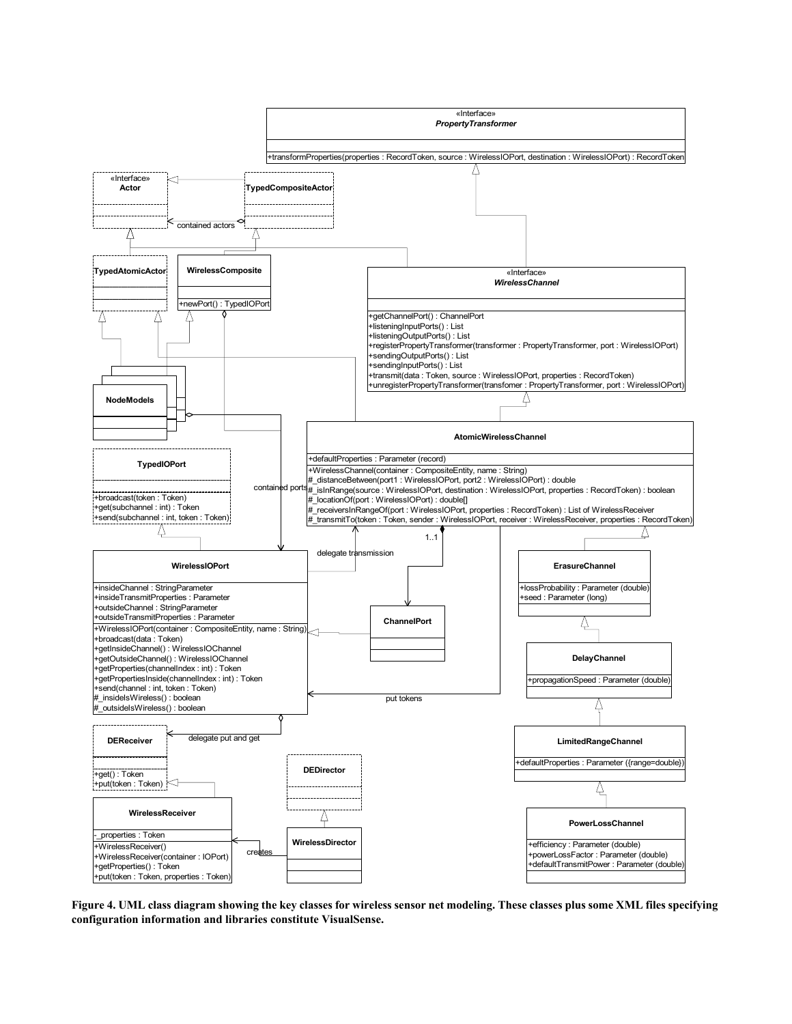

**Figure 4. UML class diagram showing the key classes for wireless sensor net modeling. These classes plus some XML files specifying configuration information and libraries constitute VisualSense.**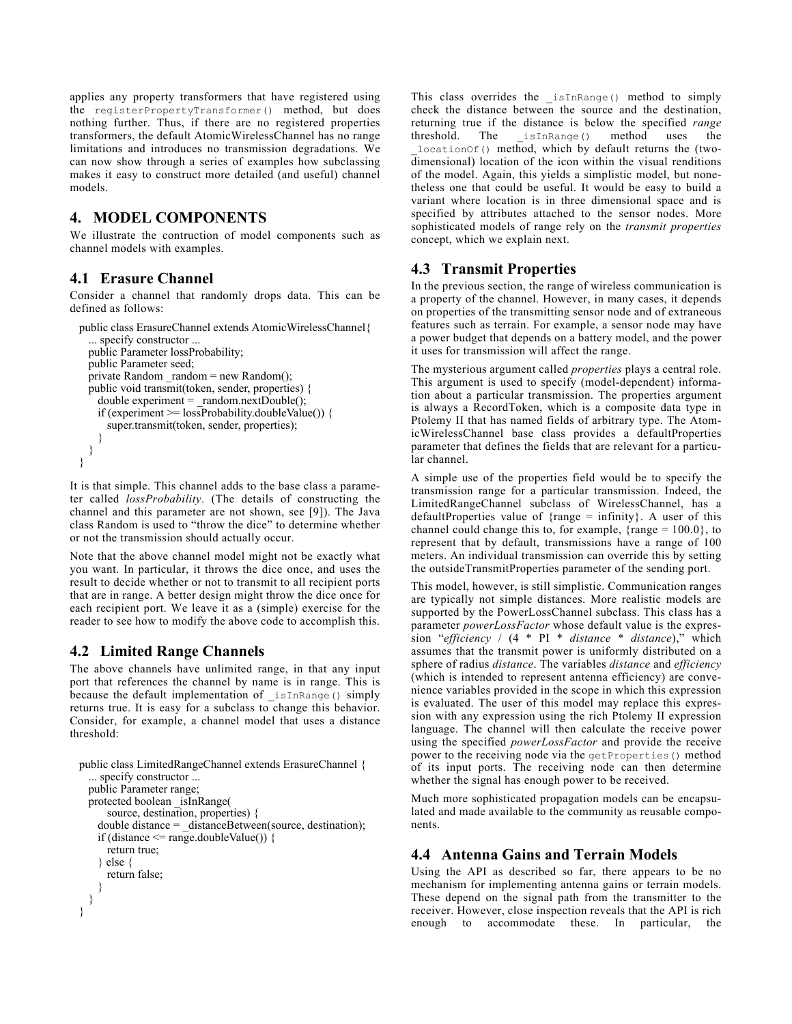applies any property transformers that have registered using the registerPropertyTransformer() method, but does nothing further. Thus, if there are no registered properties transformers, the default AtomicWirelessChannel has no range limitations and introduces no transmission degradations. We can now show through a series of examples how subclassing makes it easy to construct more detailed (and useful) channel models.

#### **4. MODEL COMPONENTS**

We illustrate the contruction of model components such as channel models with examples.

#### **4.1 Erasure Channel**

Consider a channel that randomly drops data. This can be defined as follows:

```
public class ErasureChannel extends AtomicWirelessChannel{
  ... specify constructor ...
 public Parameter lossProbability;
 public Parameter seed;
 private Random r random = new Random();
 public void transmit(token, sender, properties) {
   double experiment = random.nextDouble();
   if (experiment >= lossProbability.doubleValue()) {
     super.transmit(token, sender, properties);
    }
 }
}
```
It is that simple. This channel adds to the base class a parameter called *lossProbability*. (The details of constructing the channel and this parameter are not shown, see [9]). The Java class Random is used to "throw the dice" to determine whether or not the transmission should actually occur.

Note that the above channel model might not be exactly what you want. In particular, it throws the dice once, and uses the result to decide whether or not to transmit to all recipient ports that are in range. A better design might throw the dice once for each recipient port. We leave it as a (simple) exercise for the reader to see how to modify the above code to accomplish this.

## **4.2 Limited Range Channels**

The above channels have unlimited range, in that any input port that references the channel by name is in range. This is because the default implementation of isInRange() simply returns true. It is easy for a subclass to change this behavior. Consider, for example, a channel model that uses a distance threshold:

```
public class LimitedRangeChannel extends ErasureChannel {
  ... specify constructor ...
 public Parameter range;
 protected boolean _isInRange(
     source, destination, properties) {
    double distance = _ distanceBetween(source, destination);
    if (distance \leq range.doubleValue()) {
     return true;
    } else {
     return false;
    }
  }
}
```
This class overrides the isInRange() method to simply check the distance between the source and the destination, returning true if the distance is below the specified *range* threshold. The \_isInRange() method uses the locationOf() method, which by default returns the (twodimensional) location of the icon within the visual renditions of the model. Again, this yields a simplistic model, but nonetheless one that could be useful. It would be easy to build a variant where location is in three dimensional space and is specified by attributes attached to the sensor nodes. More sophisticated models of range rely on the *transmit properties* concept, which we explain next.

## **4.3 Transmit Properties**

In the previous section, the range of wireless communication is a property of the channel. However, in many cases, it depends on properties of the transmitting sensor node and of extraneous features such as terrain. For example, a sensor node may have a power budget that depends on a battery model, and the power it uses for transmission will affect the range.

The mysterious argument called *properties* plays a central role. This argument is used to specify (model-dependent) information about a particular transmission. The properties argument is always a RecordToken, which is a composite data type in Ptolemy II that has named fields of arbitrary type. The AtomicWirelessChannel base class provides a defaultProperties parameter that defines the fields that are relevant for a particular channel.

A simple use of the properties field would be to specify the transmission range for a particular transmission. Indeed, the LimitedRangeChannel subclass of WirelessChannel, has a defaultProperties value of {range = infinity}. A user of this channel could change this to, for example,  $\{\text{range} = 100.0\}$ , to represent that by default, transmissions have a range of 100 meters. An individual transmission can override this by setting the outsideTransmitProperties parameter of the sending port.

This model, however, is still simplistic. Communication ranges are typically not simple distances. More realistic models are supported by the PowerLossChannel subclass. This class has a parameter *powerLossFactor* whose default value is the expression "*efficiency* / (4 \* PI \* *distance* \* *distance*)," which assumes that the transmit power is uniformly distributed on a sphere of radius *distance*. The variables *distance* and *efficiency* (which is intended to represent antenna efficiency) are convenience variables provided in the scope in which this expression is evaluated. The user of this model may replace this expression with any expression using the rich Ptolemy II expression language. The channel will then calculate the receive power using the specified *powerLossFactor* and provide the receive power to the receiving node via the getProperties() method of its input ports. The receiving node can then determine whether the signal has enough power to be received.

Much more sophisticated propagation models can be encapsulated and made available to the community as reusable components.

#### **4.4 Antenna Gains and Terrain Models**

Using the API as described so far, there appears to be no mechanism for implementing antenna gains or terrain models. These depend on the signal path from the transmitter to the receiver. However, close inspection reveals that the API is rich enough to accommodate these. In particular, the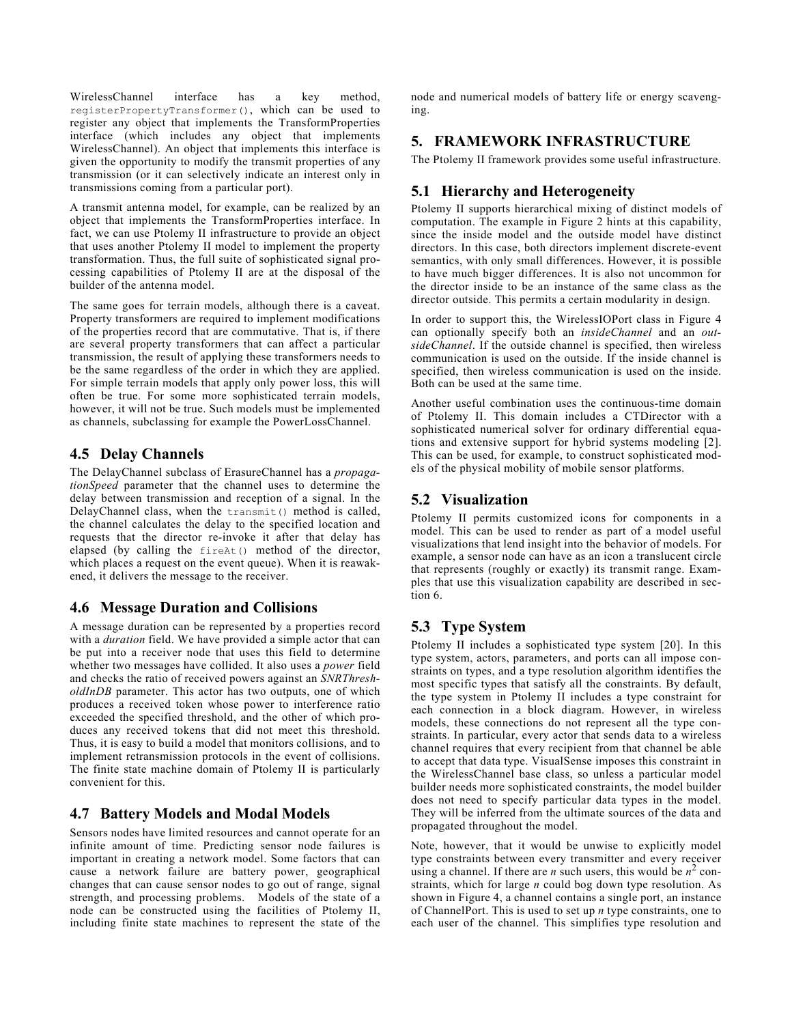WirelessChannel interface has a key method, registerPropertyTransformer(), which can be used to register any object that implements the TransformProperties interface (which includes any object that implements WirelessChannel). An object that implements this interface is given the opportunity to modify the transmit properties of any transmission (or it can selectively indicate an interest only in transmissions coming from a particular port).

A transmit antenna model, for example, can be realized by an object that implements the TransformProperties interface. In fact, we can use Ptolemy II infrastructure to provide an object that uses another Ptolemy II model to implement the property transformation. Thus, the full suite of sophisticated signal processing capabilities of Ptolemy II are at the disposal of the builder of the antenna model.

The same goes for terrain models, although there is a caveat. Property transformers are required to implement modifications of the properties record that are commutative. That is, if there are several property transformers that can affect a particular transmission, the result of applying these transformers needs to be the same regardless of the order in which they are applied. For simple terrain models that apply only power loss, this will often be true. For some more sophisticated terrain models, however, it will not be true. Such models must be implemented as channels, subclassing for example the PowerLossChannel.

## **4.5 Delay Channels**

The DelayChannel subclass of ErasureChannel has a *propagationSpeed* parameter that the channel uses to determine the delay between transmission and reception of a signal. In the DelayChannel class, when the transmit() method is called, the channel calculates the delay to the specified location and requests that the director re-invoke it after that delay has elapsed (by calling the fireAt() method of the director, which places a request on the event queue). When it is reawakened, it delivers the message to the receiver.

# **4.6 Message Duration and Collisions**

A message duration can be represented by a properties record with a *duration* field. We have provided a simple actor that can be put into a receiver node that uses this field to determine whether two messages have collided. It also uses a *power* field and checks the ratio of received powers against an *SNRThresholdInDB* parameter. This actor has two outputs, one of which produces a received token whose power to interference ratio exceeded the specified threshold, and the other of which produces any received tokens that did not meet this threshold. Thus, it is easy to build a model that monitors collisions, and to implement retransmission protocols in the event of collisions. The finite state machine domain of Ptolemy II is particularly convenient for this.

# **4.7 Battery Models and Modal Models**

Sensors nodes have limited resources and cannot operate for an infinite amount of time. Predicting sensor node failures is important in creating a network model. Some factors that can cause a network failure are battery power, geographical changes that can cause sensor nodes to go out of range, signal strength, and processing problems. Models of the state of a node can be constructed using the facilities of Ptolemy II, including finite state machines to represent the state of the node and numerical models of battery life or energy scavenging.

# **5. FRAMEWORK INFRASTRUCTURE**

The Ptolemy II framework provides some useful infrastructure.

# **5.1 Hierarchy and Heterogeneity**

Ptolemy II supports hierarchical mixing of distinct models of computation. The example in Figure 2 hints at this capability, since the inside model and the outside model have distinct directors. In this case, both directors implement discrete-event semantics, with only small differences. However, it is possible to have much bigger differences. It is also not uncommon for the director inside to be an instance of the same class as the director outside. This permits a certain modularity in design.

In order to support this, the WirelessIOPort class in Figure 4 can optionally specify both an *insideChannel* and an *outsideChannel*. If the outside channel is specified, then wireless communication is used on the outside. If the inside channel is specified, then wireless communication is used on the inside. Both can be used at the same time.

Another useful combination uses the continuous-time domain of Ptolemy II. This domain includes a CTDirector with a sophisticated numerical solver for ordinary differential equations and extensive support for hybrid systems modeling [2]. This can be used, for example, to construct sophisticated models of the physical mobility of mobile sensor platforms.

# **5.2 Visualization**

Ptolemy II permits customized icons for components in a model. This can be used to render as part of a model useful visualizations that lend insight into the behavior of models. For example, a sensor node can have as an icon a translucent circle that represents (roughly or exactly) its transmit range. Examples that use this visualization capability are described in section 6.

# **5.3 Type System**

Ptolemy II includes a sophisticated type system [20]. In this type system, actors, parameters, and ports can all impose constraints on types, and a type resolution algorithm identifies the most specific types that satisfy all the constraints. By default, the type system in Ptolemy II includes a type constraint for each connection in a block diagram. However, in wireless models, these connections do not represent all the type constraints. In particular, every actor that sends data to a wireless channel requires that every recipient from that channel be able to accept that data type. VisualSense imposes this constraint in the WirelessChannel base class, so unless a particular model builder needs more sophisticated constraints, the model builder does not need to specify particular data types in the model. They will be inferred from the ultimate sources of the data and propagated throughout the model.

Note, however, that it would be unwise to explicitly model type constraints between every transmitter and every receiver using a channel. If there are *n* such users, this would be  $n^2$  constraints, which for large *n* could bog down type resolution. As shown in Figure 4, a channel contains a single port, an instance of ChannelPort. This is used to set up *n* type constraints, one to each user of the channel. This simplifies type resolution and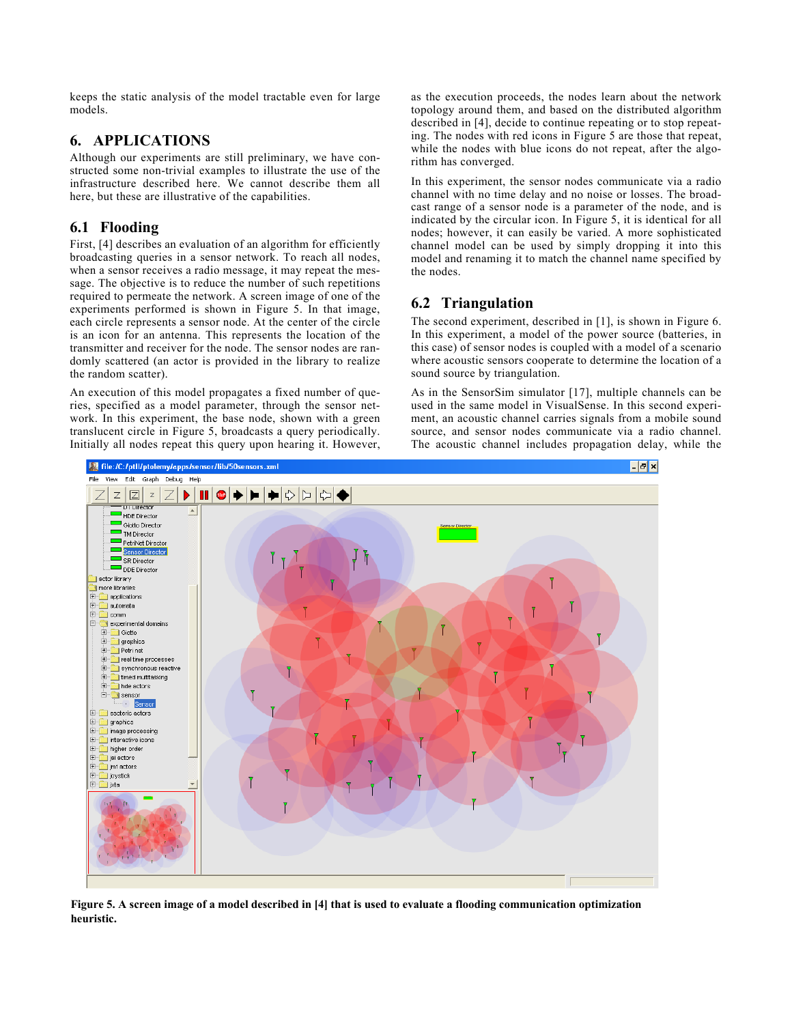keeps the static analysis of the model tractable even for large models.

#### **6. APPLICATIONS**

Although our experiments are still preliminary, we have constructed some non-trivial examples to illustrate the use of the infrastructure described here. We cannot describe them all here, but these are illustrative of the capabilities.

## **6.1 Flooding**

First, [4] describes an evaluation of an algorithm for efficiently broadcasting queries in a sensor network. To reach all nodes, when a sensor receives a radio message, it may repeat the message. The objective is to reduce the number of such repetitions required to permeate the network. A screen image of one of the experiments performed is shown in Figure 5. In that image, each circle represents a sensor node. At the center of the circle is an icon for an antenna. This represents the location of the transmitter and receiver for the node. The sensor nodes are randomly scattered (an actor is provided in the library to realize the random scatter).

An execution of this model propagates a fixed number of queries, specified as a model parameter, through the sensor network. In this experiment, the base node, shown with a green translucent circle in Figure 5, broadcasts a query periodically. Initially all nodes repeat this query upon hearing it. However, as the execution proceeds, the nodes learn about the network topology around them, and based on the distributed algorithm described in [4], decide to continue repeating or to stop repeating. The nodes with red icons in Figure 5 are those that repeat, while the nodes with blue icons do not repeat, after the algorithm has converged.

In this experiment, the sensor nodes communicate via a radio channel with no time delay and no noise or losses. The broadcast range of a sensor node is a parameter of the node, and is indicated by the circular icon. In Figure 5, it is identical for all nodes; however, it can easily be varied. A more sophisticated channel model can be used by simply dropping it into this model and renaming it to match the channel name specified by the nodes.

## **6.2 Triangulation**

The second experiment, described in [1], is shown in Figure 6. In this experiment, a model of the power source (batteries, in this case) of sensor nodes is coupled with a model of a scenario where acoustic sensors cooperate to determine the location of a sound source by triangulation.

As in the SensorSim simulator [17], multiple channels can be used in the same model in VisualSense. In this second experiment, an acoustic channel carries signals from a mobile sound source, and sensor nodes communicate via a radio channel. The acoustic channel includes propagation delay, while the



**Figure 5. A screen image of a model described in [4] that is used to evaluate a flooding communication optimization heuristic.**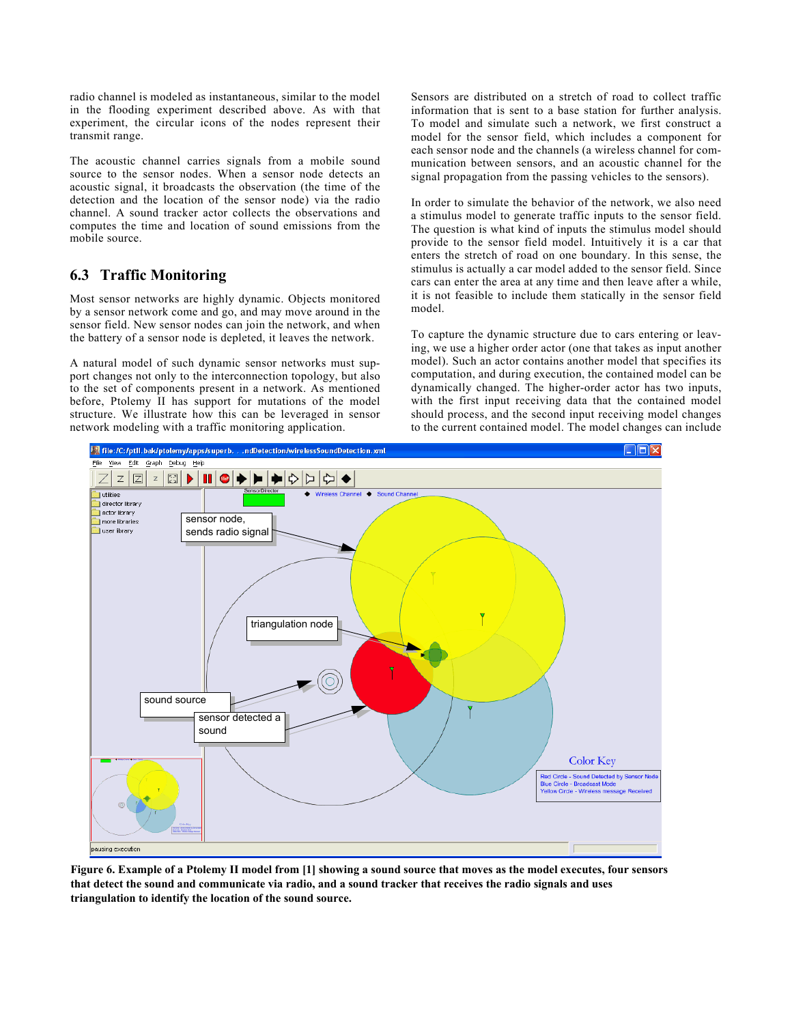radio channel is modeled as instantaneous, similar to the model in the flooding experiment described above. As with that experiment, the circular icons of the nodes represent their transmit range.

The acoustic channel carries signals from a mobile sound source to the sensor nodes. When a sensor node detects an acoustic signal, it broadcasts the observation (the time of the detection and the location of the sensor node) via the radio channel. A sound tracker actor collects the observations and computes the time and location of sound emissions from the mobile source.

## **6.3 Traffic Monitoring**

Most sensor networks are highly dynamic. Objects monitored by a sensor network come and go, and may move around in the sensor field. New sensor nodes can join the network, and when the battery of a sensor node is depleted, it leaves the network.

A natural model of such dynamic sensor networks must support changes not only to the interconnection topology, but also to the set of components present in a network. As mentioned before, Ptolemy II has support for mutations of the model structure. We illustrate how this can be leveraged in sensor network modeling with a traffic monitoring application.

Sensors are distributed on a stretch of road to collect traffic information that is sent to a base station for further analysis. To model and simulate such a network, we first construct a model for the sensor field, which includes a component for each sensor node and the channels (a wireless channel for communication between sensors, and an acoustic channel for the signal propagation from the passing vehicles to the sensors).

In order to simulate the behavior of the network, we also need a stimulus model to generate traffic inputs to the sensor field. The question is what kind of inputs the stimulus model should provide to the sensor field model. Intuitively it is a car that enters the stretch of road on one boundary. In this sense, the stimulus is actually a car model added to the sensor field. Since cars can enter the area at any time and then leave after a while, it is not feasible to include them statically in the sensor field model.

To capture the dynamic structure due to cars entering or leaving, we use a higher order actor (one that takes as input another model). Such an actor contains another model that specifies its computation, and during execution, the contained model can be dynamically changed. The higher-order actor has two inputs, with the first input receiving data that the contained model should process, and the second input receiving model changes to the current contained model. The model changes can include



**Figure 6. Example of a Ptolemy II model from [1] showing a sound source that moves as the model executes, four sensors that detect the sound and communicate via radio, and a sound tracker that receives the radio signals and uses triangulation to identify the location of the sound source.**